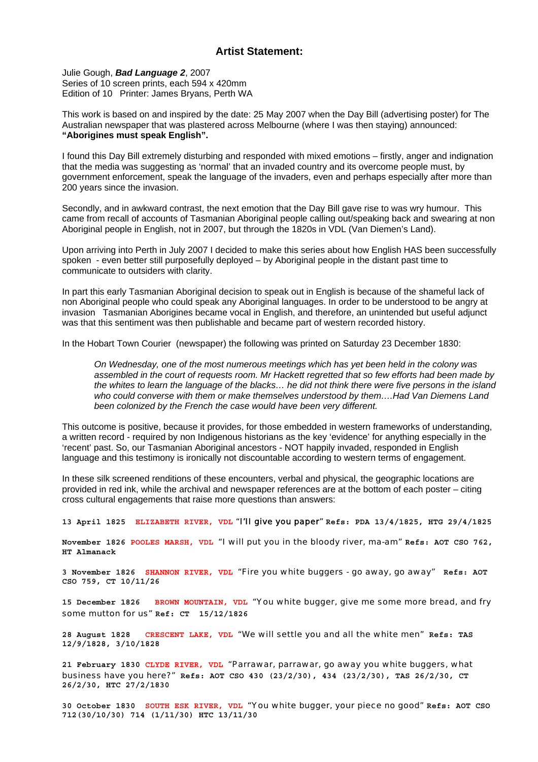## **Artist Statement:**

Julie Gough, *Bad Language 2*, 2007 Series of 10 screen prints, each 594 x 420mm Edition of 10 Printer: James Bryans, Perth WA

This work is based on and inspired by the date: 25 May 2007 when the Day Bill (advertising poster) for The Australian newspaper that was plastered across Melbourne (where I was then staying) announced: **"Aborigines must speak English".** 

I found this Day Bill extremely disturbing and responded with mixed emotions – firstly, anger and indignation that the media was suggesting as 'normal' that an invaded country and its overcome people must, by government enforcement, speak the language of the invaders, even and perhaps especially after more than 200 years since the invasion.

Secondly, and in awkward contrast, the next emotion that the Day Bill gave rise to was wry humour. This came from recall of accounts of Tasmanian Aboriginal people calling out/speaking back and swearing at non Aboriginal people in English, not in 2007, but through the 1820s in VDL (Van Diemen's Land).

Upon arriving into Perth in July 2007 I decided to make this series about how English HAS been successfully spoken - even better still purposefully deployed – by Aboriginal people in the distant past time to communicate to outsiders with clarity.

In part this early Tasmanian Aboriginal decision to speak out in English is because of the shameful lack of non Aboriginal people who could speak any Aboriginal languages. In order to be understood to be angry at invasion Tasmanian Aborigines became vocal in English, and therefore, an unintended but useful adjunct was that this sentiment was then publishable and became part of western recorded history.

In the Hobart Town Courier (newspaper) the following was printed on Saturday 23 December 1830:

*On Wednesday, one of the most numerous meetings which has yet been held in the colony was assembled in the court of requests room. Mr Hackett regretted that so few efforts had been made by the whites to learn the language of the blacks… he did not think there were five persons in the island who could converse with them or make themselves understood by them….Had Van Diemens Land been colonized by the French the case would have been very different.* 

This outcome is positive, because it provides, for those embedded in western frameworks of understanding, a written record - required by non Indigenous historians as the key 'evidence' for anything especially in the 'recent' past. So, our Tasmanian Aboriginal ancestors - NOT happily invaded, responded in English language and this testimony is ironically not discountable according to western terms of engagement.

In these silk screened renditions of these encounters, verbal and physical, the geographic locations are provided in red ink, while the archival and newspaper references are at the bottom of each poster – citing cross cultural engagements that raise more questions than answers:

**13 April 1825 ELIZABETH RIVER, VDL** "I'II give you paper" **Refs: PDA 13/4/1825, HTG 29/4/1825** 

**November 1826 POOLES MARSH, VDL** "I will put you in the bloody river, ma-am" **Refs: AOT CSO 762, HT Almanack** 

**3 November 1826 SHANNON RIVER, VDL** "Fire you white buggers - go away, go away" **Refs: AOT CSO 759, CT 10/11/26** 

**15 December 1826 BROWN MOUNTAIN, VDL** "You white bugger, give me some more bread, and fry some mutton for us" **Ref: CT 15/12/1826** 

**28 August 1828 CRESCENT LAKE, VDL** "We will settle you and all the white men" **Refs: TAS 12/9/1828, 3/10/1828** 

**21 February 1830 CLYDE RIVER, VDL** "Parrawar, parrawar, go away you white buggers, what business have you here?" **Refs: AOT CSO 430 (23/2/30), 434 (23/2/30), TAS 26/2/30, CT 26/2/30, HTC 27/2/1830** 

**30 October 1830 SOUTH ESK RIVER, VDL** "You white bugger, your piece no good" **Refs: AOT CSO 712(30/10/30) 714 (1/11/30) HTC 13/11/30**